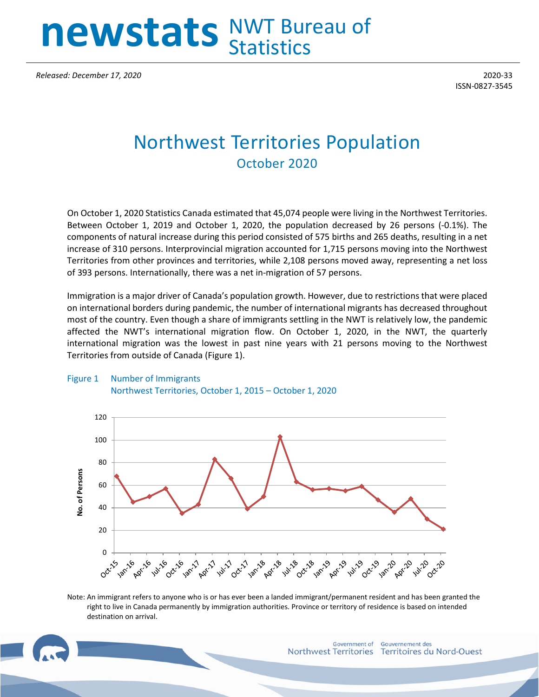# **newstats** NWT Bureau of **Statistics**

*Released: December 17, 2020* 2020-33

ISSN-0827-3545

## Northwest Territories Population October 2020

On October 1, 2020 Statistics Canada estimated that 45,074 people were living in the Northwest Territories. Between October 1, 2019 and October 1, 2020, the population decreased by 26 persons (-0.1%). The components of natural increase during this period consisted of 575 births and 265 deaths, resulting in a net increase of 310 persons. Interprovincial migration accounted for 1,715 persons moving into the Northwest Territories from other provinces and territories, while 2,108 persons moved away, representing a net loss of 393 persons. Internationally, there was a net in-migration of 57 persons.

Immigration is a major driver of Canada's population growth. However, due to restrictions that were placed on international borders during pandemic, the number of international migrants has decreased throughout most of the country. Even though a share of immigrants settling in the NWT is relatively low, the pandemic affected the NWT's international migration flow. On October 1, 2020, in the NWT, the quarterly international migration was the lowest in past nine years with 21 persons moving to the Northwest Territories from outside of Canada (Figure 1).



#### Figure 1 Number of Immigrants Northwest Territories, October 1, 2015 – October 1, 2020

Note: An immigrant refers to anyone who is or has ever been a landed immigrant/permanent resident and has been granted the right to live in Canada permanently by immigration authorities. Province or territory of residence is based on intended destination on arrival.

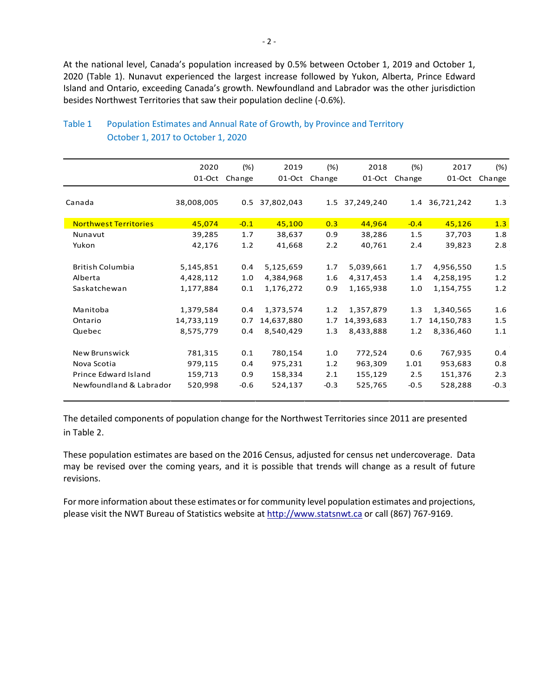At the national level, Canada's population increased by 0.5% between October 1, 2019 and October 1, 2020 (Table 1). Nunavut experienced the largest increase followed by Yukon, Alberta, Prince Edward Island and Ontario, exceeding Canada's growth. Newfoundland and Labrador was the other jurisdiction besides Northwest Territories that saw their population decline (-0.6%).

|                              | 2020       | (%)    | 2019       | $(\%)$ | 2018       | (%)    | 2017       | (%)    |
|------------------------------|------------|--------|------------|--------|------------|--------|------------|--------|
|                              | 01-Oct     | Change | 01-Oct     | Change | 01-Oct     | Change | 01-Oct     | Change |
|                              |            |        |            |        |            |        |            |        |
| Canada                       | 38,008,005 | 0.5    | 37,802,043 | 1.5    | 37,249,240 | 1.4    | 36,721,242 | 1.3    |
|                              |            |        |            |        |            |        |            |        |
| <b>Northwest Territories</b> | 45,074     | $-0.1$ | 45,100     | 0.3    | 44,964     | $-0.4$ | 45,126     | 1.3    |
| Nunavut                      | 39,285     | 1.7    | 38,637     | 0.9    | 38,286     | 1.5    | 37,703     | 1.8    |
| Yukon                        | 42,176     | 1.2    | 41,668     | 2.2    | 40,761     | 2.4    | 39,823     | 2.8    |
|                              |            |        |            |        |            |        |            |        |
| <b>British Columbia</b>      | 5,145,851  | 0.4    | 5,125,659  | 1.7    | 5,039,661  | 1.7    | 4,956,550  | 1.5    |
| Alberta                      | 4,428,112  | 1.0    | 4,384,968  | 1.6    | 4,317,453  | 1.4    | 4,258,195  | 1.2    |
| Saskatchewan                 | 1,177,884  | 0.1    | 1,176,272  | 0.9    | 1,165,938  | 1.0    | 1,154,755  | 1.2    |
|                              |            |        |            |        |            |        |            |        |
| Manitoba                     | 1,379,584  | 0.4    | 1,373,574  | 1.2    | 1,357,879  | 1.3    | 1,340,565  | 1.6    |
| Ontario                      | 14,733,119 | 0.7    | 14,637,880 | 1.7    | 14,393,683 | 1.7    | 14,150,783 | 1.5    |
| Quebec                       | 8,575,779  | 0.4    | 8,540,429  | 1.3    | 8,433,888  | 1.2    | 8,336,460  | 1.1    |
|                              |            |        |            |        |            |        |            |        |
| <b>New Brunswick</b>         | 781,315    | 0.1    | 780,154    | 1.0    | 772,524    | 0.6    | 767,935    | 0.4    |
| Nova Scotia                  | 979,115    | 0.4    | 975,231    | 1.2    | 963,309    | 1.01   | 953,683    | 0.8    |
| Prince Edward Island         | 159,713    | 0.9    | 158,334    | 2.1    | 155,129    | 2.5    | 151,376    | 2.3    |
| Newfoundland & Labrador      | 520,998    | $-0.6$ | 524,137    | $-0.3$ | 525,765    | $-0.5$ | 528,288    | $-0.3$ |
|                              |            |        |            |        |            |        |            |        |

### Table 1 Population Estimates and Annual Rate of Growth, by Province and Territory October 1, 2017 to October 1, 2020

The detailed components of population change for the Northwest Territories since 2011 are presented in Table 2.

These population estimates are based on the 2016 Census, adjusted for census net undercoverage. Data may be revised over the coming years, and it is possible that trends will change as a result of future revisions.

For more information about these estimates or for community level population estimates and projections, please visit the NWT Bureau of Statistics website at http://www.statsnwt.ca or call (867) 767-9169.